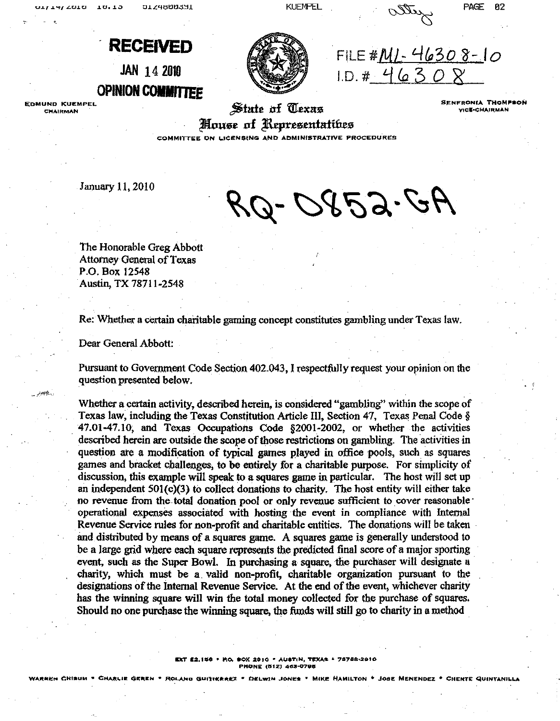$10, 13$ UITH/ CULU

JLZ4000331

KUEMPEL DURINGE 82

FILE # $M1 - 46308 - 10$ 

I.D."# =/ *(a* :3 0 LS'



**EDMUND KUEMPEL CHAIRMAN** 

.<br>پاي<del>لان د</del>ران

State of *Clexas* House of Representatibes **SENFRONIA THOMPSON VICE-CHAIRMAN** 

**COMMITTEE ON LICENSING AND ADMINISTRATIVE PROCEDURES** 

January 11,2010

RQ-0852.GA

The Honorable Greg Abbott Attorney General of Texas P.O. Box 12548 Austin, TX 78711-2548

Re: Whether a certain charitable gaming concept constitutes gambling under Texas law.

Dear General Abbott:

Pursuant to Government Code Section 402.043, I respectfully request your opinion on the question presented below.

Whether a certain activity, described herein, is considered "gambling" within the scope of Texas law, including the Texas Constitution Article Ill, Section 47, Texas Penal Code § 47.01-47.10; and Texas Occupations Code §2oo1-2002, or whether the activities described herein are outside the scope of those restrictions on gambling. The activities in question ate a modification of typical games played in office pools, such as squares games and bracket challenges, to be entirely for a charitable purpose. For simplicity of discussion, this example will speak to a squares game in particular. The host will set up an independent  $501(c)(3)$  to collect donations to charity. The host entity will either take no revenue from the total donation pool or only revenue sufficient to cover reasonable' operational expenses associated with hosting the event in compliance with Internal Revenue Service rules for non-profit and charitable entities. The donations will be taken and distributed by means of a squares game. A squares game is generally understood to be a Jarge grid where each square represents the predicted final score of a major sporting event, such as the Super Bowl. In purchasing a square, the purchaser will designate a charity, which must be a. valid non-profit, charitable organization pursuant to the designations of the Internal Revenue Service. At the end of the event, whichever charity has the winning square will win the total money collected for the purchase of squares. Should no one purchase the winning square, the funds will still go to charity in a method .

> **!eXT a:a,lu6 • 11':0. .ox: 201(1 .. AUSTIN. TI!!x.\S •** '787'a8.2~to **PHONE** (512) 463-0796

WARREN CHISUM • CHARLIE GEREN • ROLAND GUITIKRREZ • DELWIN JONES • MIKE HAMILTON • JOSE MENENDEZ • CHENTE QUINTANILLA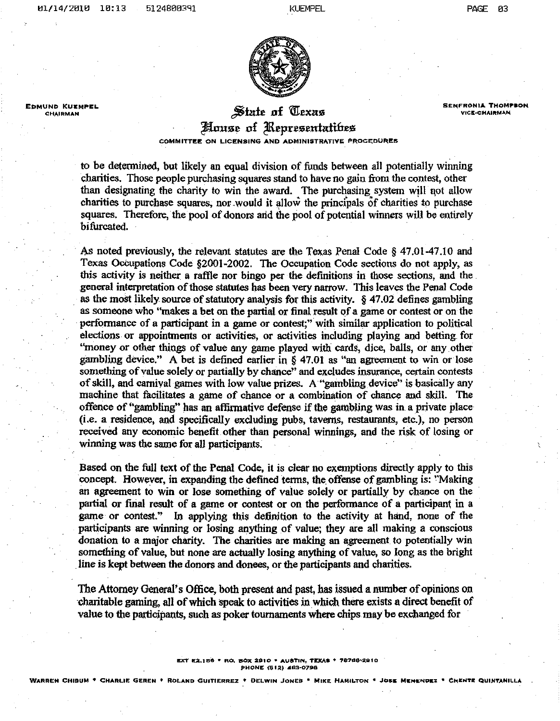**EDMUND KUEMPEL**<br>CHAIRMAN



### **EXAMPLE 201 CHAIRMAN CHAIRMAN CHAIRMAN CHAIRMAN CHAIRMAN**

**SENFRONIA THOMPSON**<br>VICE-CHAIRMAN

# House of Representatibes

**COMMITTEE ON LICENSING AND ADMINISTRATIVE PROCEDURES** 

to be determined, but likely an equal division of funds between all potentially winning charities. Those people purchasing squares stand to have no gain from the contest, other than designating the charity to win the award. The purchasing system will not allow charities to purchase squares, nor .would it allow the principals of charities to purchase squares. Therefore, the pool of donors arid the pool of potential winners will be entirely bifurcated.

. As noted previously, the relevant statutes are the Texas Penal Code § 47.01-47.10 and Texas Occupations Code §2001-2002. The Occupation Code sections do not apply, as this activity is neither a raffle nor bingo per the definitions in those sections, and the general interpretation of those statutes has been very narrow. This leaves the Penal Code as the most likely source of statutory analysis fot this activity. § 47.02 defines gambling as someone who "makes a bet on the partial or final result of a game or contest or on the . performance of a participant in a game or contest;" with similar application to political elections or appointments or activities, or activities including playing and betting for "money or other things of value any game played with cards, dice, balls, or any other gambling device." A bet is defined earlier in § 47.01 as "an agreement to win or lose something of value solely or partially by chance" and excludes insurance, certain contests of skill, and carnival games with low value prizes. A "gambling device" is basically any machine that facilitates a game of chance or a combination of chance and skill. The offence of "gambling" has an affirmative defense if the gambling Was in. a private place (i.e. a residence, and specifically excluding pubs, taverns, restaurants, etc.), no person received any economic benefit. other than personal winnings, and the risk of losing or winning was the same for all participants.

Based on the full text of the Penal Code, it is clear no exemptions directly apply to this concept. However, in expanding the defined terms, the offense of gambling is: "Making an agreement to win or lose something of value solely or partially by chance on the partial or final result of a game or contest or on the performance of a participant in a game or contest." In applying this definition to the activity at hand, none of the participants are winning or losing anything of value; they are all making a conscious donation to a major charity. The charities are making an agreement to potentially win something of value, but none are actually losing anything of value, so long as the bright . line is kept between the donors and donees, or the participants and charities.

The Attorney General's Office, both present and past, has issued a number of opinions on charitable gaming, all of which speak to activities in which there exists a direct benefit of value to the participants, such as poker tournaments where chips may be exchanged fur

#### **EXT E2.156 • RO. BOX 2910 • AUSTIN. TEXAS • 78768-2910 PHONE (S12) 463-0798**

WARREN CHISUM<sup>®</sup> CHARLIE GEREN. <sup>\*</sup> ROLAND GUITIERREZ. <sup>\*</sup> DELWIN JONES. \* MIKE HAMILTON . JOSE MENKNOEZ. \*